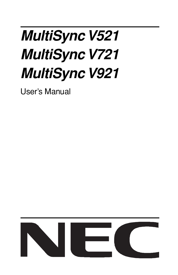# **MultiSync V521 MultiSync V721 MultiSync V921**

User's Manual

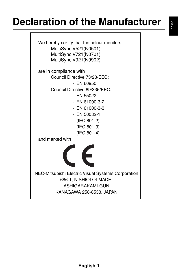### **Declaration of the Manufacturer**

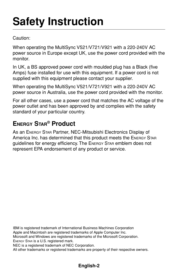## **Safety Instruction**

Caution:

When operating the MultiSync V521/V721/V921 with a 220-240V AC power source in Europe except UK, use the power cord provided with the monitor.

In UK, a BS approved power cord with moulded plug has a Black (five Amps) fuse installed for use with this equipment. If a power cord is not supplied with this equipment please contact your supplier.

When operating the MultiSync V521/V721/V921 with a 220-240V AC power source in Australia, use the power cord provided with the monitor.

For all other cases, use a power cord that matches the AC voltage of the power outlet and has been approved by and complies with the safety standard of your particular country.

### **ENERGY STAR® Product**

As an ENERGY STAR Partner, NEC-Mitsubishi Electronics Display of America Inc. has determined that this product meets the ENERGY STAR guidelines for energy efficiency. The ENERGY STAR emblem does not represent EPA endorsement of any product or service.

IBM is registered trademark of International Business Machines Corporation Apple and Macintosh are registered trademarks of Apple Computer Inc. Microsoft and Windows are registered trademarks of the Microsoft Corporation. ENERGY STAR is a U.S. registered mark. NEC is a registered trademark of NEC Corporation. All other trademarks or registered trademarks are property of their respective owners.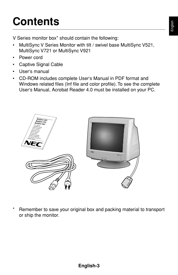## **Contents**

V Series monitor box\* should contain the following:

- MultiSync V Series Monitor with tilt / swivel base MultiSync V521, MultiSync V721 or MultiSync V921
- Power cord
- Captive Signal Cable
- User's manual
- CD-ROM includes complete User's Manual in PDF format and Windows related files (Inf file and color profile). To see the complete User's Manual, Acrobat Reader 4.0 must be installed on your PC.



Remember to save your original box and packing material to transport or ship the monitor.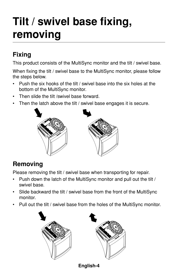## **Tilt / swivel base fixing, removing**

### **Fixing**

This product consists of the MultiSync monitor and the tilt / swivel base.

When fixing the tilt / swivel base to the MultiSync monitor, please follow the steps below.

- Push the six hooks of the tilt / swivel base into the six holes at the bottom of the MultiSync monitor.
- Then slide the tilt /swivel base forward.
- Then the latch above the tilt / swivel base engages it is secure.



### **Removing**

Please removing the tilt / swivel base when transporting for repair.

- Push down the latch of the MultiSync monitor and pull out the tilt / swivel base.
- Slide backward the tilt / swivel base from the front of the MultiSync monitor.
- Pull out the tilt / swivel base from the holes of the MultiSync monitor.





**English-4**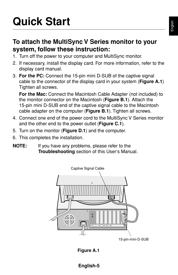## **Quick Start**

### **To attach the MultiSync V Series monitor to your system, follow these instruction:**

- 1. Turn off the power to your computer and MultiSync monitor.
- 2. If necessary, install the display card. For more information, refer to the display card manual.
- 3. **For the PC:** Connect the 15-pin mini D-SUB of the captive signal cable to the connector of the display card in your system (**Figure A.1**) Tighten all screws.

**For the Mac:** Connect the Macintosh Cable Adapter (not included) to the monitor connector on the Macintosh (**Figure B.1**). Attach the 15-pin mini D-SUB end of the captive signal cable to the Macintosh cable adapter on the computer (**Figure B.1**). Tighten all screws.

- 4. Connect one end of the power cord to the MultiSync V Series monitor and the other end to the power outlet (**Figure C.1**).
- 5. Turn on the monitor (**Figure D.1**) and the computer.
- 6. This completes the installation.
- **NOTE:** If you have any problems, please refer to the **Troubleshooting** section of this User's Manual.



**Figure A.1**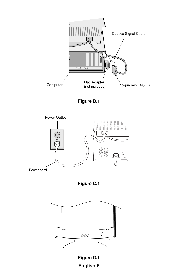









**English-6 Figure D.1**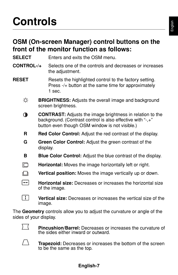### **Controls**

### **OSM (On-screen Manager) control buttons on the front of the monitor function as follows:**

| SELECT            | Enters and exits the OSM menu.                                                                                                                                                   |  |
|-------------------|----------------------------------------------------------------------------------------------------------------------------------------------------------------------------------|--|
| <b>CONTROL-/+</b> | Selects one of the controls and decreases or increases<br>the adjustment.                                                                                                        |  |
| <b>RESET</b>      | Resets the highlighted control to the factory setting.<br>Press -/+ button at the same time for approximately<br>1 sec.                                                          |  |
| Ċ.                | <b>BRIGHTNESS:</b> Adjusts the overall image and background<br>screen brightness.                                                                                                |  |
| ◑                 | <b>CONTRAST:</b> Adjusts the image brightness in relation to the<br>background. (Contrast control is also effective with "-,+"<br>button even though OSM window is not visible.) |  |
| R                 | Red Color Control: Adjust the red contrast of the display.                                                                                                                       |  |
| G                 | Green Color Control: Adjust the green contrast of the<br>display.                                                                                                                |  |
| в                 | <b>Blue Color Control:</b> Adjust the blue contrast of the display.                                                                                                              |  |
| □                 | Horizontal: Moves the image horizontally left or right.                                                                                                                          |  |
| ri h              | Vertical position: Moves the image vertically up or down.                                                                                                                        |  |
| اد                | Horizontal size: Decreases or increases the horizontal size<br>of the image.                                                                                                     |  |
| $\ddagger$        | <b>Vertical size:</b> Decreases or increases the vertical size of the                                                                                                            |  |

The **Geometry** controls allow you to adjust the curvature or angle of the sides of your display.



image.

**Pincushion/Barrel:** Decreases or increases the curvature of the sides either inward or outward.



**Trapezoid:** Decreases or increases the bottom of the screen to be the same as the top.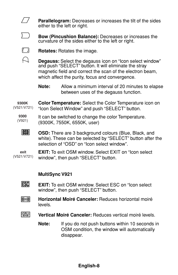**Parallelogram:** Decreases or increases the tilt of the sides either to the left or right.



 $\frac{1}{2}$ 

**Bow (Pincushion Balance):** Decreases or increases the curvature of the sides either to the left or right.



**Rotates:** Rotates the image.

**Degauss:** Select the degauss icon on "Icon select window" and push "SELECT" button. It will eliminate the stray magnetic field and correct the scan of the electron beam, which affect the purity, focus and convergence.

**Note:** Allow a minimum interval of 20 minutes to elapse between uses of the degauss function.

**Color Temperature:** Select the Color Temperature icon on "Icon Select Window" and push "SELECT" button. **9300K**  (V521/V721)

- It can be switched to change the color Temperature. (9300K, 7550K, 6550K, user) **9300** (V921)
	- **OSD OSD:** There are 3 background colours (Blue, Black, and white). These can be selected by "SELECT" button after the selection of "OSD" on "Icon select window".

**EXIT:** To exit OSM window. Select EXIT on "Icon select window", then push "SELECT" button. **exit** (V521/V721)

#### **MultiSync V921**

- **ESC EXIT:** To exit OSM window. Select ESC on "Icon select window", then push "SELECT" button.
- **Horizontal Moiré Canceler:** Reduces horizontal moiré |00000|| levels.
- 囫 **Vertical Moiré Canceler:** Reduces vertical moiré levels.
	- **Note:** If you do not push buttons within 10 seconds in OSM condition, the window will automatically disappear.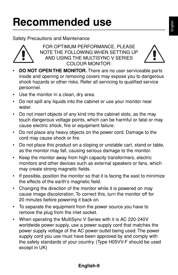## **Recommended use**

#### Safety Precautions and Maintenance



FOR OPTIMUM PERFORMANCE, PLEASE NOTE THE FOLLOWING WHEN SETTING UP AND USING THE MULTISYNC V SERIES COLOUR MONITOR:



- **DO NOT OPEN THE MONITOR.** There are no user serviceable parts inside and opening or removing covers may expose you to dangerous shock hazards or other risks. Refer all servicing to qualified service personnel.
- Use the monitor in a clean, dry area.
- Do not spill any liquids into the cabinet or use your monitor near water.
- Do not insert objects of any kind into the cabinet slots, as the may touch dangerous voltage points, which can be harmful or fatal or may cause electric shock, fire or equipment failure.
- Do not place any heavy objects on the power cord. Damage to the cord may cause shock or fire.
- Do not place this product on a sloping or unstable cart, stand or table, as the monitor may fall, causing serious damage to the monitor.
- Keep the monitor away from high capacity transformers, electric monitors and other devices such as external speakers or fans, which may create strong magnetic fields.
- If possible, position the monitor so that it is facing the east to minimize the effects of the earth's magnetic field.
- Changing the direction of the monitor while it is powered on may cause image discoloration. To correct this, turn the monitor off for 20 minutes before powering it back on.
- To separate the equipment from the power source you have to remove the plug from the inlet socket.
- When operating the MultiSync V Series with it is AC 220-240V worldwide power supply, use a power supply cord that matches the power supply voltage of the AC power outlet being used. The power supply cord you use must have been approved by and comply with the safety standards of your country. (Type H05VV-F should be used except in UK)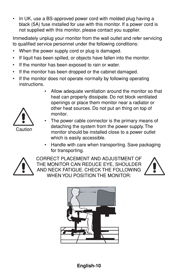• In UK, use a BS-approved power cord with molded plug having a black (5A) fuse installed for use with this monitor. If a power cord is not supplied with this monitor, please contact you supplier.

Immediately unplug your monitor from the wall outlet and refer servicing to qualified service personnel under the following conditions:

- When the power supply cord or plug is damaged.
- If liquit has been spilled, or objects have fallen into the monitor.
- If the monitor has been exposed to rain or water.
- If the monitor has been dropped or the cabinet damaged.
- If the monitor does not operate normally by following operating instructions.
	- Allow adequate ventilation around the monitor so that heat can properly dissipate. Do not block ventilated openings or place them monitor near a radiator or other heat sources. Do not put an thing on top of monitor.



- 
- The power cable connector is the primary means of detaching the system from the power supply. The monitor should be installed close to a power outlet which is easily accessible.
	- Handle with care when transporting. Save packaging for transporting.



CORRECT PLACEMENT AND ADJUSTMENT OF THE MONITOR CAN REDUCE EYE, SHOULDER AND NECK FATIGUE. CHECK THE FOLLOWING WHEN YOU POSITION THE MONITOR:



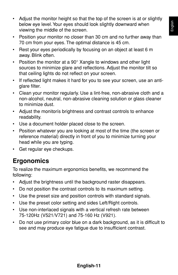- Adjust the monitor height so that the top of the screen is at or slightly below eye level. Your eyes should look slightly downward when viewing the middle of the screen.
- Position your monitor no closer than 30 cm and no further away than 70 cm from your eyes. The optimal distance is 45 cm.
- Rest your eyes periodically by focusing on an object at least 6 m away. Blink often.
- Position the monitor at a  $90^\circ$  Xangle to windows and other light sources to minimize glare and reflections. Adjust the monitor tilt so that ceiling lights do not reflect on your screen.
- If reflected light makes it hard for you to see your screen, use an antiglare filter.
- Clean your monitor regularly. Use a lint-free, non-abrasive cloth and a non-alcohol, neutral, non-abrasive cleaning solution or glass cleaner to minimize dust.
- Adjust the monitoris brightness and contrast controls to enhance readability.
- Use a document holder placed close to the screen.
- Position whatever you are looking at most of the time (the screen or reference material) directly in front of you to minimize turning your head while you are typing.
- Get regular eye checkups.

### **Ergonomics**

To realize the maximum ergonomics benefits, we recommend the following:

- Adjust the brightness until the background raster disappears.
- Do not position the contrast controls to its maximum setting.
- Use the preset size and position controls with standard signals.
- Use the preset color setting and sides Left/Right controls.
- Use non-interlaced signals with a vertical refresh rate between 75-120Hz (V521/V721) and 75-160 Hz (V921).
- Do not use primary color blue on a dark background, as it is difficult to see and may produce eye fatigue due to insufficient contrast.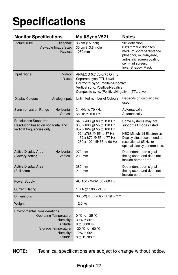## **Specifications**

| <b>Monitor Specifications</b>                                                                                                                    | <b>MultiSync V521</b>                                                                                                                                                            | <b>Notes</b>                                                                                                                                                                   |
|--------------------------------------------------------------------------------------------------------------------------------------------------|----------------------------------------------------------------------------------------------------------------------------------------------------------------------------------|--------------------------------------------------------------------------------------------------------------------------------------------------------------------------------|
| <b>Picture Tube</b><br>Diagonal:<br>Viewable Image Size:<br>Radius:                                                                              | 38 cm (15 inch)<br>35 cm (13.8 inch)<br>1080 mm                                                                                                                                  | 90° deflection,<br>0.28 mm trio dot pitch,<br>medium short persistence<br>phosphor, multi-layered,<br>anti-static screen coating,<br>semi-tint screen,<br>Invar Shadow Mask.   |
| Input Signal<br>Video:<br>Sync:                                                                                                                  | ANALOG 0.7 Vp-p/75 Ohms<br>Separate sync. TTL Level<br>Horizontal sync. Positive/Negative<br>Vertical sync. Positive/Negative<br>Composite sync. (Positive/Negative) (TTL Level) |                                                                                                                                                                                |
| Analog input:<br><b>Display Colours</b>                                                                                                          | Unlimited number of Colours                                                                                                                                                      | Depends on display card<br>used.                                                                                                                                               |
| <b>Synchronization Range</b><br>Horizontal:<br>Vertical:                                                                                         | 31 kHz to 70 kHz<br>55 Hz to 120 Hz                                                                                                                                              | Automatically<br>Automatically                                                                                                                                                 |
| <b>Resolutions Supported</b><br>Resolution based on horizontal and<br>vertical frequencies only                                                  | 640 x 480 @ 60 to 120 Hz<br>800 x 600 @ 55 to 110 Hz<br>832 x 624 @ 55 to 106 Hz<br>1024 x768 @ 55 to 87 Hz<br>1152 x 870 @ 55 to 77 Hz<br>1280 x 1024 @ 55 to 66 Hz             | Some systems may not<br>support all modes listed.<br><b>NEC-Mitsubishi Electronics</b><br>Display cites recommended<br>resolution at 85 Hz for<br>optimal display performance. |
| Active Display Area<br>Horizontal:<br>(Factory setting)<br>Vertical:                                                                             | 270 mm<br>203 mm                                                                                                                                                                 | Dependent upon signal<br>timing used, and does not<br>include border area.                                                                                                     |
| Active Display Area<br>(Full scan)                                                                                                               | 280 mm<br>210 mm                                                                                                                                                                 | Dependent upon signal<br>timing used, and does not<br>include border area.                                                                                                     |
| Power Supply                                                                                                                                     | AC 100 - 240V, 50 - 60 Hz                                                                                                                                                        |                                                                                                                                                                                |
| <b>Current Rating</b>                                                                                                                            | 1.3 A @ 100 - 240V                                                                                                                                                               |                                                                                                                                                                                |
| <b>Dimensions</b>                                                                                                                                | 360(W) x 380(H) x 381(D) mm                                                                                                                                                      |                                                                                                                                                                                |
| Weight                                                                                                                                           | 12.5 kg                                                                                                                                                                          |                                                                                                                                                                                |
| <b>Environmental Considerations</b><br><b>Operating Temperature:</b><br>Humidity:<br>Altitude:<br>Storage Temperature:<br>Humidity:<br>Altitude: | 0 °C to +35 °C<br>30% to 80%<br>0 to 3000 m<br>-20 °C to +60 °C<br>10% to 90%<br>0 to 13700 m                                                                                    |                                                                                                                                                                                |

**NOTE:** Technical specifications are subject to change without notice.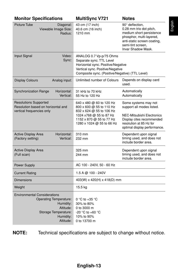| <b>Monitor Specifications</b>                                                                                                                    | <b>MultiSync V721</b>                                                                                                                                                            | <b>Notes</b>                                                                                                                                                                        |
|--------------------------------------------------------------------------------------------------------------------------------------------------|----------------------------------------------------------------------------------------------------------------------------------------------------------------------------------|-------------------------------------------------------------------------------------------------------------------------------------------------------------------------------------|
| <b>Picture Tube</b><br>Diagonal:<br>Viewable Image Size:<br>Radius:                                                                              | 43 cm (17 inch)<br>40.6 cm (16 inch)<br>1210 mm                                                                                                                                  | 90° deflection.<br>0.28 mm trio dot pitch,<br>medium short persistence<br>phosphor, multi-layered,<br>anti-static screen coating,<br>semi-tint screen.<br><b>Invar Shadow Mask.</b> |
| Video:<br>Input Signal<br>Sync:                                                                                                                  | ANALOG 0.7 Vp-p/75 Ohms<br>Separate sync. TTL Level<br>Horizontal sync. Positive/Negative<br>Vertical sync. Positive/Negative<br>Composite sync. (Positive/Negative) (TTL Level) |                                                                                                                                                                                     |
| Analog input:<br><b>Display Colours</b>                                                                                                          | Unlimited number of Colours                                                                                                                                                      | Depends on display card<br>used.                                                                                                                                                    |
| <b>Synchronization Range</b><br>Horizontal:<br>Vertical:                                                                                         | 31 kHz to 70 kHz<br>55 Hz to 120 Hz                                                                                                                                              | Automatically<br>Automatically                                                                                                                                                      |
| <b>Resolutions Supported</b><br>Resolution based on horizontal and<br>vertical frequencies only                                                  | 640 x 480 @ 60 to 120 Hz<br>800 x 600 @ 55 to 110 Hz<br>832 x 624 @ 55 to 106 Hz<br>1024 x768 @ 55 to 87 Hz<br>1152 x 870 @ 55 to 77 Hz<br>1280 x 1024 @ 55 to 66 Hz             | Some systems may not<br>support all modes listed.<br>NEC-Mitsubishi Electronics<br>Display cites recommended<br>resolution at 85 Hz for<br>optimal display performance.             |
| <b>Active Display Area</b><br>Horizontal:<br>(Factory setting)<br>Vertical:                                                                      | 310 mm<br>232 mm                                                                                                                                                                 | Dependent upon signal<br>timing used, and does not<br>include border area.                                                                                                          |
| <b>Active Display Area</b><br>(Full scan)                                                                                                        | 325 mm<br>244 mm                                                                                                                                                                 | Dependent upon signal<br>timing used, and does not<br>include border area.                                                                                                          |
| <b>Power Supply</b>                                                                                                                              | AC 100 - 240V, 50 - 60 Hz                                                                                                                                                        |                                                                                                                                                                                     |
| <b>Current Rating</b>                                                                                                                            | $1.5 A @ 100 - 240V$                                                                                                                                                             |                                                                                                                                                                                     |
| <b>Dimensions</b>                                                                                                                                | 403(W) x 420(H) x 418(D) mm                                                                                                                                                      |                                                                                                                                                                                     |
| Weight                                                                                                                                           | 15.5 kg                                                                                                                                                                          |                                                                                                                                                                                     |
| <b>Environmental Considerations</b><br><b>Operating Temperature:</b><br>Humidity:<br>Altitude:<br>Storage Temperature:<br>Humidity:<br>Altitude: | 0 °C to +35 °C<br>30% to 80%<br>0 to 3000 m<br>-20 °C to +60 °C<br>10% to 90%<br>0 to 13700 m                                                                                    |                                                                                                                                                                                     |

**NOTE:** Technical specifications are subject to change without notice.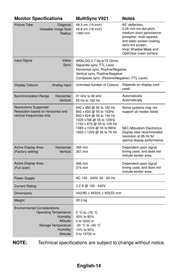| <b>Monitor Specifications</b>                                                                                                                    | <b>MultiSync V921</b>                                                                                                                                                                            | <b>Notes</b>                                                                                                                                                                                               |
|--------------------------------------------------------------------------------------------------------------------------------------------------|--------------------------------------------------------------------------------------------------------------------------------------------------------------------------------------------------|------------------------------------------------------------------------------------------------------------------------------------------------------------------------------------------------------------|
| Picture Tube<br>Diagonal:<br>Viewable Image Size:<br>Radius:                                                                                     | 48.3 cm (19 inch)<br>45.8 cm (18 inch)<br>1360 mm                                                                                                                                                | 90° deflection.<br>0.26 mm trio dot pitch,<br>medium short persistence<br>phosphor, multi-layered,<br>anti-static screen coating.<br>semi-tint screen,<br>Invar Shadow Mask and<br>OptiClear creen surface |
| Input Signal<br>Video:<br>Sync:                                                                                                                  | ANALOG 0.7 Vp-p/75 Ohms<br>Separate sync. TTL Level<br>Horizontal sync. Positive/Negative<br>Vertical sync. Positive/Negative<br>Composite sync. (Positive/Negative) (TTL Level)                 |                                                                                                                                                                                                            |
| <b>Display Colours</b><br>Analog input:                                                                                                          | Unlimited number of Colours                                                                                                                                                                      | Depends on display card<br>used.                                                                                                                                                                           |
| <b>Synchronization Range</b><br>Horizontal:<br>Vertical:                                                                                         | 31 kHz to 96 kHz<br>55 Hz to 160 Hz                                                                                                                                                              | Automatically<br>Automatically                                                                                                                                                                             |
| <b>Resolutions Supported</b><br>Resolution based on horizontal and<br>vertical frequencies only                                                  | 640 x 480 @ 60 to 160 Hz<br>800 x 600 @ 55 to 153Hz<br>832 x 624 @ 55 to 144 Hz<br>1024 x768 @ 55 to 120Hz<br>1152 x 870 @ 55 to 105 Hz<br>1280 x 1024 @ 55 to 89Hz<br>1600 x 1200 @ 55 to 76 Hz | Some systems may not<br>support all modes listed.<br><b>NEC-Mitsubishi Electronics</b><br>Display cites recommended<br>resolution at 85 Hz for                                                             |
| Horizontal:<br><b>Active Display Area</b><br>(Factory setting)<br>Vertical:                                                                      | 356 mm<br>267 mm                                                                                                                                                                                 | optimal display performance.<br>Dependent upon signal<br>timing used, and does not<br>include border area.                                                                                                 |
| Active Display Area<br>(Full scan)                                                                                                               | 366 mm<br>274 mm                                                                                                                                                                                 | Dependent upon signal<br>timing used, and does not<br>include border area.                                                                                                                                 |
| Power Supply                                                                                                                                     | AC 100 - 240V, 50 - 60 Hz                                                                                                                                                                        |                                                                                                                                                                                                            |
| <b>Current Rating</b>                                                                                                                            | 2.2 A @ 100 - 240V                                                                                                                                                                               |                                                                                                                                                                                                            |
| <b>Dimensions</b>                                                                                                                                | 442(W) x 453(H) x 455(D) mm                                                                                                                                                                      |                                                                                                                                                                                                            |
| Weight                                                                                                                                           | 20.0 kg                                                                                                                                                                                          |                                                                                                                                                                                                            |
| <b>Environmental Considerations</b><br><b>Operating Temperature:</b><br>Humidity:<br>Altitude:<br>Storage Temperature:<br>Humidity:<br>Altitude: | 0 °C to +35 °C<br>30% to 80%<br>0 to 3000 m<br>-20 °C to +60 °C<br>10% to 90%<br>0 to 13700 m                                                                                                    |                                                                                                                                                                                                            |

**NOTE:** Technical specifications are subject to change without notice.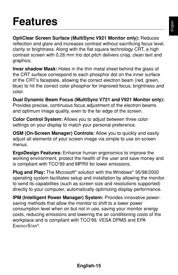### **Features**

**OptiClear Screen Surface (MultiSync V921 Monitor only):** Reduces reflection and glare and increases contrast without sacrificing focus level, clarity or brightness. Along with the flat square technology CRT, a high contrast screen with 0.26 mm trio dot pitch delivers crisp, clean text and graphics.

**Invar shadow Mask:** Holes in the thin metal sheet behind the glass of the CRT surface correspond to each phosphor dot on the inner surface of the CRT's faceplate, allowing the correct electron beam (red, green, blue) to hit the correct color phosphor for improved focus, brightness and color.

**Dual Dynamic Beam Focus (MultiSync V721 and V921 Monitor only):** Provides precise, continuous focus adjustment of the electron beams and optimum image quality, even to the far edge of the screen.

**Color Control System:** Allows you to adjust between three color settings on your display to match your personal preference.

**OSM (On-Screen Manager) Controls:** Allow you to quickly and easily adjust all elements of your screen image via simple to use on-screen menus.

**ErgoDesign Features:** Enhance human ergonomics to improve the working environment, protect the health of the user and save money and is compliant with TCO'99 and MPRII for lower emissions.

**Plug and Play:** The Microsoft® solution with the Windows® 95/98/2000 operating system facilitates setup and installation by allowing the monitor to send its capabilities (such as screen size and resolutions supported) directly to your computer, automatically optimizing display performance.

**IPM (Intelligent Power Manager) System:** Provides innovative powersaving methods that allow the monitor to shift to a lower power consumption level when on but not in use, saving your monitor energy costs, reducing emissions and lowering the air conditioning costs of the workplace and is compliant with TCO'99, VESA DPMS and EPA ENERGYSTAR®.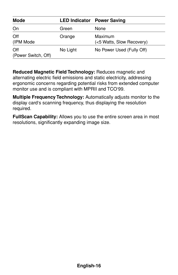| <b>Mode</b>                |          | <b>LED Indicator Power Saving</b>    |
|----------------------------|----------|--------------------------------------|
| On                         | Green    | None                                 |
| Off<br>(IPM Mode           | Orange   | Maximum<br>(<5 Watts, Slow Recovery) |
| Off<br>(Power Switch, Off) | No Light | No Power Used (Fully Off)            |

**Reduced Magnetic Field Technology:** Reduces magnetic and alternating electric field emissions and static electricity, addressing ergonomic concerns regarding potential risks from extended computer monitor use and is compliant with MPRII and TCO'99.

**Multiple Frequency Technology:** Automatically adjusts monitor to the display card's scanning frequency, thus displaying the resolution required.

**FullScan Capability:** Allows you to use the entire screen area in most resolutions, significantly expanding image size.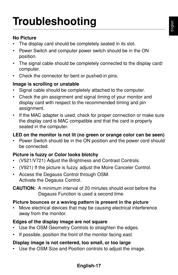#### **No Picture**

- The display card should be completely seated in its slot.
- Power Switch and computer power switch should be in the ON position.
- The signal cable should be completely connected to the display card/ computer.
- Check the connector for bent or pushed-in pins.

#### **Image is scrolling or unstable**

- Signal cable should be completely attached to the computer.
- Check the pin assignment and signal timing of your monitor and display card with respect to the recommended timing and pin assignment.
- If the MAC adapter is used, check for proper connection or make sure the display card is MAC compatible and that the card is properly seated in the computer.

#### **LED on the monitor is not lit (no green or orange color can be seen)**

• Power Switch should be in the ON position and the power cord should be connected.

#### **Picture is fuzzy or Color looks blotchy**

- (V521/V721) Adjust the Brightness and Contrast Controls.
- (V921) If the picture is fuzzy, adjust the Moire Canceler Control.
- Access the Degauss Control through OSM. Activate the Degauss Control.

**CAUTION:** A minimum interval of 20 minutes should exist before the Degauss Function is used a second time.

#### **Picture bounces or a waving pattern is present in the picture**

• Move electrical devices that may be causing electrical interference away from the monitor.

#### **Edges of the display image are not square**

- Use the OSM Geometry Controls to straighten the edges.
- If possible, position the front of the monitor facing east.

#### **Display image is not centered, too small, or too large**

• Use the OSM Size and Position controls to adjust the image.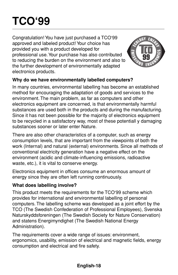## **TCO'99**

Congratulation! You have just purchased a TCO'99 approved and labeled product! Your choice has provided you with a product developed for professional use. Your purchase has also contributed to reducing the burden on the environment and also to the further development of environmentally adapted electronics products.



#### **Why do we have environmentally labelled computers?**

In many countries, environmental labelling has become an established method for encouraging the adaptation of goods and services to the environment. The main problem, as far as computers and other electronics equipment are concerned, is that environmentally harmful substances are used both in the products and during the manufacturing. Since it has not been possible for the majority of electronics equipment to be recycled in a satisfactory way, most of these potentiall y damaging substances sooner or later enter Nature.

There are also other characteristics of a computer, such as energy consumption levels, that are important from the viewpoints of both the work (Internal) and natural (external) environments. Since all methods of conventional electricity generation have a negative effect on the environment (acidic and climate-influencing emissions, radioactive waste, etc.), it is vital to conserve energy.

Electronics equipment in offices consume an enormous amount of energy since they are often left running continuously.

#### **What does labelling involve?**

This product meets the requirements for the TCO'99 scheme which provides for international and environmental labelling of personal computers. The labelling scheme was developed as a joint effort by the TCO (The Swedish Confederation of Professional Employees), Svenska Naturskyddsforeningen (The Swedish Society for Nature Conservation) and statens Energimyndighet (The Swedish National Energy Administration).

The requirements cover a wide range of issues: environment, ergonomics, usability, emission of electrical and magnetic fields, energy consumption and electrical and fire safety.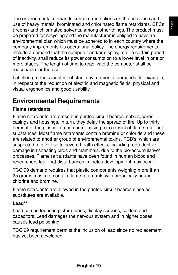English

The environmental demands concern restrictions on the presence and use of heavy metals, brominated and chlorinated flame retardants, CFCs (freons) and chlorinated solvents, among other things. The product must be prepared for recycling and the manufacturer is obliged to have an environmental plan which must be adhered to in each country where the company impl ements i ts operational policy. The energy requirements include a demand that the computer and/or display, after a certain period of inactivity, shall reduce its power consumption to a lower level in one or more stages. The length of time to reactivate the computer shall be reasonable for the user.

Labelled products must meet strict environmental demands, for example, in respect of the reduction of electric and magnetic fields, physical and visual ergonomics and good usability.

### **Environmental Requirements**

#### **Flame retardants**

Flame retardants are present in printed circuit boards, cables, wires, casings and housings. In turn, they delay the spread of fire. Up to thirty percent of the plastic in a computer casing can consist of flame retar ant substances. Most flame retardants contain bromine or chloride and these are related to another group of environmental toxins, PCB's, which are suspected to give rise to severe health effects, including reproductive damage in fisheating birds and mammals, due to the bio-accumulative\* processes. Flame re t a rdants have been found in human blood and researchers fear that disturbances in foetus development may occur.

TCO'99 demand requires that plastic components weighing more than 25 grams must not contain flame retardants with organically bound chlorine and bromine.

Flame retardants are allowed in the printed circuit boards since no substitutes are available.

#### **Lead\*\***

Lead can be found in picture tubes, display screens, solders and capacitors. Lead damages the nervous system and in higher doses, causes lead poisoning.

TCO'99 requirement permits the inclusion of lead since no replacement has yet been developed.